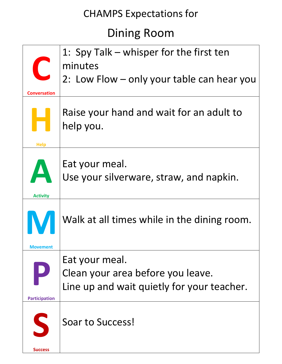# Dining Room

|                          | 1: Spy Talk – whisper for the first ten                                                           |
|--------------------------|---------------------------------------------------------------------------------------------------|
| $\overline{\phantom{a}}$ | minutes                                                                                           |
|                          | 2: Low Flow - only your table can hear you                                                        |
| <b>Conversation</b>      |                                                                                                   |
| <b>Help</b>              | Raise your hand and wait for an adult to<br>help you.                                             |
| A<br><b>Activity</b>     | Eat your meal.<br>Use your silverware, straw, and napkin.                                         |
| Movement                 | Walk at all times while in the dining room.                                                       |
| <b>Participation</b>     | Eat your meal.<br>Clean your area before you leave.<br>Line up and wait quietly for your teacher. |
| $\mathsf{S}$             | Soar to Success!                                                                                  |
| <b>Success</b>           |                                                                                                   |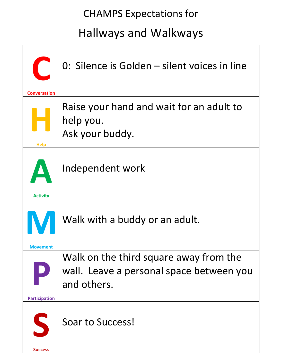# Hallways and Walkways

| $\blacksquare$<br><b>Conversation</b> | 0: Silence is Golden - silent voices in line                                                      |
|---------------------------------------|---------------------------------------------------------------------------------------------------|
| <b>Help</b>                           | Raise your hand and wait for an adult to<br>help you.<br>Ask your buddy.                          |
| <b>Activity</b>                       | Independent work                                                                                  |
| Movement                              | Walk with a buddy or an adult.                                                                    |
| <b>Participation</b>                  | Walk on the third square away from the<br>wall. Leave a personal space between you<br>and others. |
| S<br><b>Success</b>                   | Soar to Success!                                                                                  |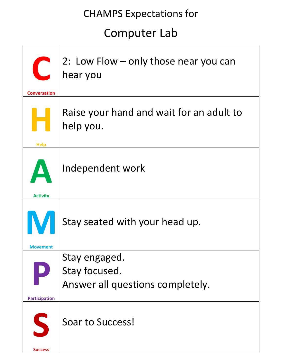# Computer Lab

| <b>Conversation</b>  | 2: Low Flow – only those near you can<br>hear you                  |
|----------------------|--------------------------------------------------------------------|
| <b>Help</b>          | Raise your hand and wait for an adult to<br>help you.              |
| <b>Activity</b>      | Independent work                                                   |
| Movement             | Stay seated with your head up.                                     |
| <b>Participation</b> | Stay engaged.<br>Stay focused.<br>Answer all questions completely. |
| S<br><b>Success</b>  | Soar to Success!                                                   |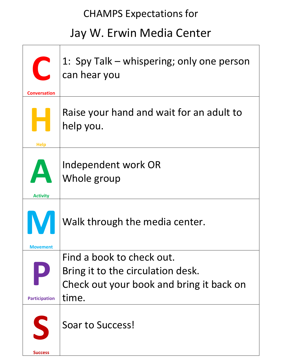# Jay W. Erwin Media Center

| $\overline{C}$<br><b>Conversation</b> | 1: Spy Talk – whispering; only one person<br>can hear you                                                           |
|---------------------------------------|---------------------------------------------------------------------------------------------------------------------|
| <b>Help</b>                           | Raise your hand and wait for an adult to<br>help you.                                                               |
| <b>Activity</b>                       | Independent work OR<br>Whole group                                                                                  |
| Movement                              | Walk through the media center.                                                                                      |
| <b>Participation</b>                  | Find a book to check out.<br>Bring it to the circulation desk.<br>Check out your book and bring it back on<br>time. |
| S<br><b>Success</b>                   | Soar to Success!                                                                                                    |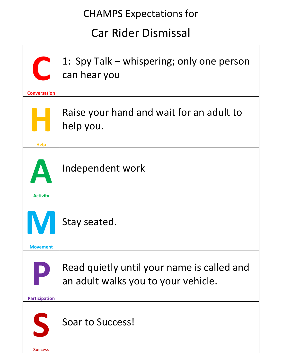## Car Rider Dismissal

| <b>Conversation</b>  | 1: Spy Talk – whispering; only one person<br>can hear you                         |
|----------------------|-----------------------------------------------------------------------------------|
| <b>Help</b>          | Raise your hand and wait for an adult to<br>help you.                             |
| <b>Activity</b>      | Independent work                                                                  |
| <b>Movement</b>      | Stay seated.                                                                      |
| <b>Participation</b> | Read quietly until your name is called and<br>an adult walks you to your vehicle. |
| S<br><b>Success</b>  | Soar to Success!                                                                  |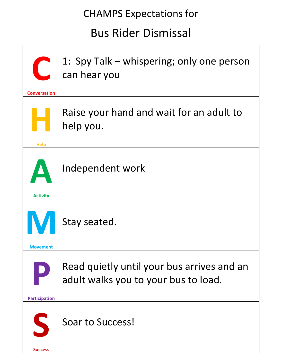## Bus Rider Dismissal

| $\overline{C}$<br><b>Conversation</b> | 1: Spy Talk – whispering; only one person<br>can hear you                          |
|---------------------------------------|------------------------------------------------------------------------------------|
| <b>Help</b>                           | Raise your hand and wait for an adult to<br>help you.                              |
| <b>Activity</b>                       | Independent work                                                                   |
| <b>Movement</b>                       | Stay seated.                                                                       |
| <b>Participation</b>                  | Read quietly until your bus arrives and an<br>adult walks you to your bus to load. |
| S                                     | Soar to Success!                                                                   |
| <b>Success</b>                        |                                                                                    |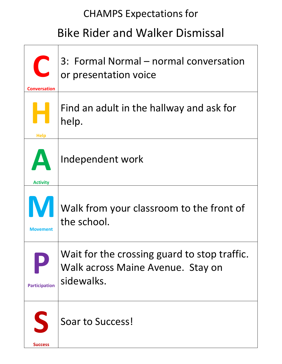# Bike Rider and Walker Dismissal

| C<br><b>Conversation</b>                 | 3: Formal Normal – normal conversation<br>or presentation voice                                 |
|------------------------------------------|-------------------------------------------------------------------------------------------------|
| <b>Help</b>                              | Find an adult in the hallway and ask for<br>help.                                               |
| $\boldsymbol{\Delta}$<br><b>Activity</b> | Independent work                                                                                |
| IV.<br><b>Movement</b>                   | Walk from your classroom to the front of<br>the school.                                         |
| <b>Participation</b>                     | Wait for the crossing guard to stop traffic.<br>Walk across Maine Avenue. Stay on<br>sidewalks. |
| S<br><b>Success</b>                      | Soar to Success!                                                                                |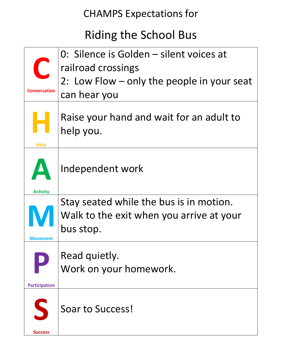# Riding the School Bus

| C                    | 0: Silence is Golden – silent voices at<br>railroad crossings |
|----------------------|---------------------------------------------------------------|
| <b>Conversation</b>  | 2: Low Flow – only the people in your seat<br>can hear you    |
| <b>Help</b>          | Raise your hand and wait for an adult to<br>help you.         |
| <b>Activity</b>      | Independent work                                              |
|                      | Stay seated while the bus is in motion.                       |
| Movement             | Walk to the exit when you arrive at your<br>bus stop.         |
|                      | Read quietly.                                                 |
|                      | Work on your homework.                                        |
| <b>Participation</b> |                                                               |
| S<br><b>Success</b>  | Soar to Success!                                              |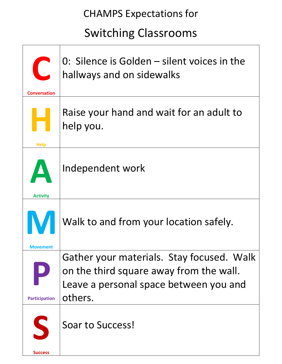# Switching Classrooms

| $\begin{bmatrix} 1 \\ 2 \end{bmatrix}$<br><b>Conversation</b> | 0: Silence is Golden - silent voices in the<br>hallways and on sidewalks                                                                  |
|---------------------------------------------------------------|-------------------------------------------------------------------------------------------------------------------------------------------|
| <b>Help</b>                                                   | Raise your hand and wait for an adult to<br>help you.                                                                                     |
| <b>Activity</b>                                               | Independent work                                                                                                                          |
| Movement                                                      | Walk to and from your location safely.                                                                                                    |
| <b>Participation</b>                                          | Gather your materials. Stay focused. Walk<br>on the third square away from the wall.<br>Leave a personal space between you and<br>others. |
| S<br><b>Success</b>                                           | <b>Soar to Success!</b>                                                                                                                   |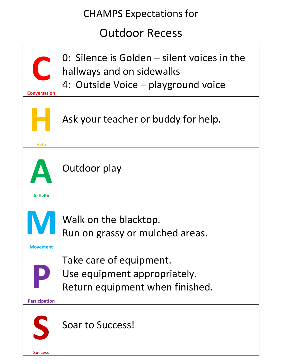## Outdoor Recess

| $\overline{C}$<br>Conversation | 0: Silence is Golden – silent voices in the<br>hallways and on sidewalks<br>4: Outside Voice – playground voice |
|--------------------------------|-----------------------------------------------------------------------------------------------------------------|
| <b>Help</b>                    | Ask your teacher or buddy for help.                                                                             |
| Activity                       | Outdoor play                                                                                                    |
| V<br>Movement                  | Walk on the blacktop.<br>Run on grassy or mulched areas.                                                        |
| <b>Participation</b>           | Take care of equipment.<br>Use equipment appropriately.<br>Return equipment when finished.                      |
| S                              | <b>Soar to Success!</b>                                                                                         |
| <b>Success</b>                 |                                                                                                                 |